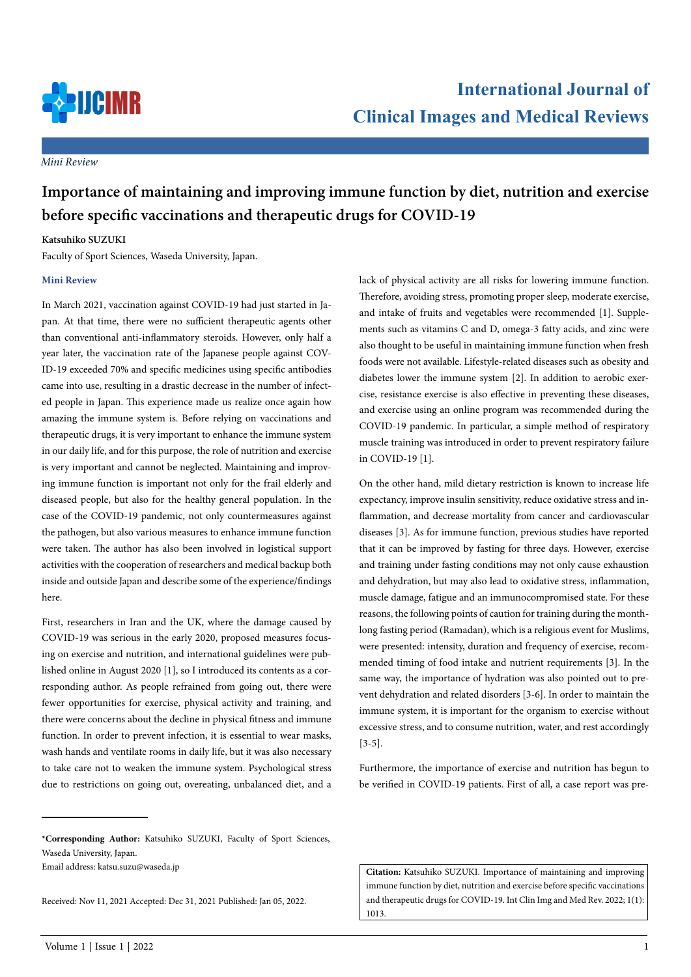

*Mini Review*

# **Importance of maintaining and improving immune function by diet, nutrition and exercise before specific vaccinations and therapeutic drugs for COVID-19**

# **Katsuhiko SUZUKI**

Faculty of Sport Sciences, Waseda University, Japan.

## **Mini Review**

In March 2021, vaccination against COVID-19 had just started in Japan. At that time, there were no sufficient therapeutic agents other than conventional anti-inflammatory steroids. However, only half a year later, the vaccination rate of the Japanese people against COV-ID-19 exceeded 70% and specific medicines using specific antibodies came into use, resulting in a drastic decrease in the number of infected people in Japan. This experience made us realize once again how amazing the immune system is. Before relying on vaccinations and therapeutic drugs, it is very important to enhance the immune system in our daily life, and for this purpose, the role of nutrition and exercise is very important and cannot be neglected. Maintaining and improving immune function is important not only for the frail elderly and diseased people, but also for the healthy general population. In the case of the COVID-19 pandemic, not only countermeasures against the pathogen, but also various measures to enhance immune function were taken. The author has also been involved in logistical support activities with the cooperation of researchers and medical backup both inside and outside Japan and describe some of the experience/findings here.

First, researchers in Iran and the UK, where the damage caused by COVID-19 was serious in the early 2020, proposed measures focusing on exercise and nutrition, and international guidelines were published online in August 2020 [1], so I introduced its contents as a corresponding author. As people refrained from going out, there were fewer opportunities for exercise, physical activity and training, and there were concerns about the decline in physical fitness and immune function. In order to prevent infection, it is essential to wear masks, wash hands and ventilate rooms in daily life, but it was also necessary to take care not to weaken the immune system. Psychological stress due to restrictions on going out, overeating, unbalanced diet, and a

**\*Corresponding Author:** Katsuhiko SUZUKI, Faculty of Sport Sciences, Waseda University, Japan.

Email address: katsu.suzu@waseda.jp

Received: Nov 11, 2021 Accepted: Dec 31, 2021 Published: Jan 05, 2022.

lack of physical activity are all risks for lowering immune function. Therefore, avoiding stress, promoting proper sleep, moderate exercise, and intake of fruits and vegetables were recommended [1]. Supplements such as vitamins C and D, omega-3 fatty acids, and zinc were also thought to be useful in maintaining immune function when fresh foods were not available. Lifestyle-related diseases such as obesity and diabetes lower the immune system [2]. In addition to aerobic exercise, resistance exercise is also effective in preventing these diseases, and exercise using an online program was recommended during the COVID-19 pandemic. In particular, a simple method of respiratory muscle training was introduced in order to prevent respiratory failure in COVID-19 [1].

On the other hand, mild dietary restriction is known to increase life expectancy, improve insulin sensitivity, reduce oxidative stress and inflammation, and decrease mortality from cancer and cardiovascular diseases [3]. As for immune function, previous studies have reported that it can be improved by fasting for three days. However, exercise and training under fasting conditions may not only cause exhaustion and dehydration, but may also lead to oxidative stress, inflammation, muscle damage, fatigue and an immunocompromised state. For these reasons, the following points of caution for training during the monthlong fasting period (Ramadan), which is a religious event for Muslims, were presented: intensity, duration and frequency of exercise, recommended timing of food intake and nutrient requirements [3]. In the same way, the importance of hydration was also pointed out to prevent dehydration and related disorders [3-6]. In order to maintain the immune system, it is important for the organism to exercise without excessive stress, and to consume nutrition, water, and rest accordingly [3-5].

Furthermore, the importance of exercise and nutrition has begun to be verified in COVID-19 patients. First of all, a case report was pre-

**Citation:** Katsuhiko SUZUKI. Importance of maintaining and improving immune function by diet, nutrition and exercise before specific vaccinations and therapeutic drugs for COVID-19. Int Clin Img and Med Rev. 2022; 1(1): 1013.